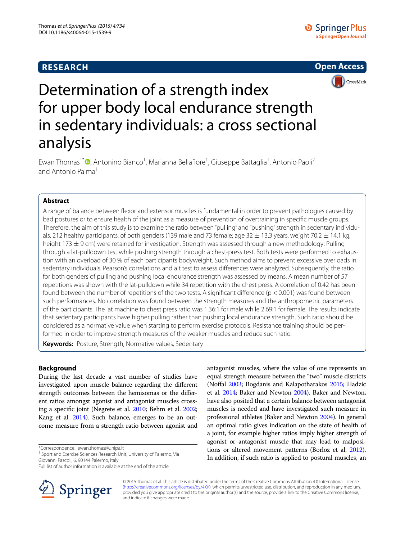# **RESEARCH**





# Determination of a strength index for upper body local endurance strength in sedentary individuals: a cross sectional analysis

Ewan Thomas<sup>1\*</sup>®[,](http://orcid.org/0000-0001-5991-8316) Antonino Bianco<sup>1</sup>, Marianna Bellafiore<sup>1</sup>, Giuseppe Battaglia<sup>1</sup>, Antonio Paoli<sup>2</sup> and Antonio Palma<sup>1</sup>

# **Abstract**

A range of balance between flexor and extensor muscles is fundamental in order to prevent pathologies caused by bad postures or to ensure health of the joint as a measure of prevention of overtraining in specific muscle groups. Therefore, the aim of this study is to examine the ratio between "pulling" and "pushing" strength in sedentary individuals. 212 healthy participants, of both genders (139 male and 73 female; age 32  $\pm$  13.3 years, weight 70.2  $\pm$  14.1 kg, height 173  $\pm$  9 cm) were retained for investigation. Strength was assessed through a new methodology: Pulling through a lat-pulldown test while pushing strength through a chest-press test. Both tests were performed to exhaustion with an overload of 30 % of each participants bodyweight. Such method aims to prevent excessive overloads in sedentary individuals. Pearson's correlations and a t test to assess differences were analyzed. Subsequently, the ratio for both genders of pulling and pushing local endurance strength was assessed by means. A mean number of 57 repetitions was shown with the lat-pulldown while 34 repetition with the chest press. A correlation of 0.42 has been found between the number of repetitions of the two tests. A significant difference (p < 0.001) was found between such performances. No correlation was found between the strength measures and the anthropometric parameters of the participants. The lat machine to chest press ratio was 1.36:1 for male while 2.69:1 for female. The results indicate that sedentary participants have higher pulling rather than pushing local endurance strength. Such ratio should be considered as a normative value when starting to perform exercise protocols. Resistance training should be performed in order to improve strength measures of the weaker muscles and reduce such ratio.

**Keywords:** Posture, Strength, Normative values, Sedentary

## **Background**

During the last decade a vast number of studies have investigated upon muscle balance regarding the different strength outcomes between the hemisomas or the different ratios amongst agonist and antagonist muscles crossing a specific joint (Negrete et al. [2010](#page-4-0); Behm et al. [2002](#page-4-1); Kang et al. [2014](#page-4-2)). Such balance, emerges to be an outcome measure from a strength ratio between agonist and

\*Correspondence: ewan.thomas@unipa.it

<sup>1</sup> Sport and Exercise Sciences Research Unit, University of Palermo, Via Giovanni Pascoli, 6, 90144 Palermo, Italy

Full list of author information is available at the end of the article



antagonist muscles, where the value of one represents an equal strength measure between the "two" muscle districts (Noffal [2003](#page-4-3); Bogdanis and Kalapotharakos [2015;](#page-4-4) Hadzic et al. [2014;](#page-4-5) Baker and Newton [2004](#page-4-6)). Baker and Newton, have also posited that a certain balance between antagonist muscles is needed and have investigated such measure in professional athletes (Baker and Newton [2004\)](#page-4-6). In general an optimal ratio gives indication on the state of health of a joint, for example higher ratios imply higher strength of agonist or antagonist muscle that may lead to malpositions or altered movement patterns (Borloz et al. [2012](#page-4-7)). In addition, if such ratio is applied to postural muscles, an

© 2015 Thomas et al. This article is distributed under the terms of the Creative Commons Attribution 4.0 International License [\(http://creativecommons.org/licenses/by/4.0/\)](http://creativecommons.org/licenses/by/4.0/), which permits unrestricted use, distribution, and reproduction in any medium, provided you give appropriate credit to the original author(s) and the source, provide a link to the Creative Commons license, and indicate if changes were made.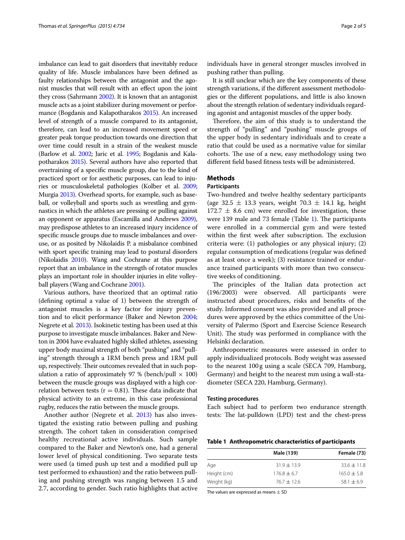imbalance can lead to gait disorders that inevitably reduce quality of life. Muscle imbalances have been defined as faulty relationships between the antagonist and the agonist muscles that will result with an effect upon the joint they cross (Sahrmann [2002\)](#page-4-8). It is known that an antagonist muscle acts as a joint stabilizer during movement or performance (Bogdanis and Kalapotharakos [2015\)](#page-4-4). An increased level of strength of a muscle compared to its antagonist, therefore, can lead to an increased movement speed or greater peak torque production towards one direction that over time could result in a strain of the weakest muscle (Barlow et al. [2002](#page-4-9); Jaric et al. [1995;](#page-4-10) Bogdanis and Kalapotharakos [2015](#page-4-4)). Several authors have also reported that overtraining of a specific muscle group, due to the kind of practiced sport or for aesthetic purposes, can lead to injuries or musculoskeletal pathologies (Kolber et al. [2009](#page-4-11); Murgia [2013](#page-4-12)). Overhead sports, for example, such as baseball, or volleyball and sports such as wrestling and gymnastics in which the athletes are pressing or pulling against an opponent or apparatus (Escamilla and Andrews [2009](#page-4-13)), may predispose athletes to an increased injury incidence of specific muscle groups due to muscle imbalances and overuse, or as posited by Nikolaidis P. a misbalance combined with sport specific training may lead to postural disorders (Nikolaidis [2010\)](#page-4-14). Wang and Cochrane at this purpose report that an imbalance in the strength of rotator muscles plays an important role in shoulder injuries in elite volleyball players (Wang and Cochrane [2001\)](#page-4-15).

Various authors, have theorized that an optimal ratio (defining optimal a value of 1) between the strength of antagonist muscles is a key factor for injury prevention and to elicit performance (Baker and Newton [2004](#page-4-6); Negrete et al. [2013\)](#page-4-16). Isokinetic testing has been used at this purpose to investigate muscle imbalances. Baker and Newton in 2004 have evaluated highly skilled athletes, assessing upper body maximal strength of both "pushing" and "pulling" strength through a 1RM bench press and 1RM pull up, respectively. Their outcomes revealed that in such population a ratio of approximately 97 % (bench/pull  $\times$  100) between the muscle groups was displayed with a high correlation between tests ( $r = 0.81$ ). These data indicate that physical activity to an extreme, in this case professional rugby, reduces the ratio between the muscle groups.

Another author (Negrete et al. [2013](#page-4-16)) has also investigated the existing ratio between pulling and pushing strength. The cohort taken in consideration comprised healthy recreational active individuals. Such sample compared to the Baker and Newton's one, had a general lower level of physical conditioning. Two separate tests were used (a timed push up test and a modified pull up test performed to exhaustion) and the ratio between pulling and pushing strength was ranging between 1.5 and 2.7, according to gender. Such ratio highlights that active individuals have in general stronger muscles involved in pushing rather than pulling.

It is still unclear which are the key components of these strength variations, if the different assessment methodologies or the different populations, and little is also known about the strength relation of sedentary individuals regarding agonist and antagonist muscles of the upper body.

Therefore, the aim of this study is to understand the strength of "pulling" and "pushing" muscle groups of the upper body in sedentary individuals and to create a ratio that could be used as a normative value for similar cohorts. The use of a new, easy methodology using two different field based fitness tests will be administered.

## **Methods**

### **Participants**

Two-hundred and twelve healthy sedentary participants (age 32.5  $\pm$  13.3 years, weight 70.3  $\pm$  14.1 kg, height  $172.7 \pm 8.6$  cm) were enrolled for investigation, these were 139 male and 73 female (Table [1\)](#page-1-0). The participants were enrolled in a commercial gym and were tested within the first week after subscription. The exclusion criteria were: (1) pathologies or any physical injury; (2) regular consumption of medications (regular was defined as at least once a week); (3) resistance trained or endurance trained participants with more than two consecutive weeks of conditioning.

The principles of the Italian data protection act (196/2003) were observed. All participants were instructed about procedures, risks and benefits of the study. Informed consent was also provided and all procedures were approved by the ethics committee of the University of Palermo (Sport and Exercise Science Research Unit). The study was performed in compliance with the Helsinki declaration.

Anthropometric measures were assessed in order to apply individualized protocols. Body weight was assessed to the nearest 100g using a scale (SECA 709, Hamburg, Germany) and height to the nearest mm using a wall-stadiometer (SECA 220, Hamburg, Germany).

#### **Testing procedures**

Each subject had to perform two endurance strength tests: The lat-pulldown (LPD) test and the chest-press

<span id="page-1-0"></span>**Table 1 Anthropometric characteristics of participants**

|             | Male (139)    | Female (73)     |
|-------------|---------------|-----------------|
| Age         | $31.9 + 13.9$ | $33.6 \pm 11.8$ |
| Height (cm) | $176.8 + 6.7$ | $165.0 \pm 5.8$ |
| Weight (kg) | $76.7 + 12.6$ | $58.1 + 6.9$    |

The values are expressed as means  $\pm$  SD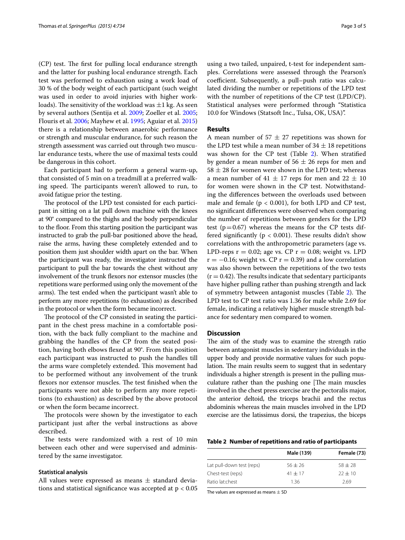(CP) test. The first for pulling local endurance strength and the latter for pushing local endurance strength. Each test was performed to exhaustion using a work load of 30 % of the body weight of each participant (such weight was used in order to avoid injuries with higher workloads). The sensitivity of the workload was  $\pm 1$  kg. As seen by several authors (Sentija et al. [2009](#page-4-17); Zoeller et al. [2005](#page-4-18); Flouris et al. [2006;](#page-4-19) Mayhew et al. [1995](#page-4-20); Aguiar et al. [2015](#page-3-0)) there is a relationship between anaerobic performance or strength and muscular endurance, for such reason the strength assessment was carried out through two muscular endurance tests, where the use of maximal tests could be dangerous in this cohort.

Each participant had to perform a general warm-up, that consisted of 5 min on a treadmill at a preferred walking speed. The participants weren't allowed to run, to avoid fatigue prior the testing.

The protocol of the LPD test consisted for each participant in sitting on a lat pull down machine with the knees at 90° compared to the thighs and the body perpendicular to the floor. From this starting position the participant was instructed to grab the pull-bar positioned above the head, raise the arms, having these completely extended and to position them just shoulder width apart on the bar. When the participant was ready, the investigator instructed the participant to pull the bar towards the chest without any involvement of the trunk flexors nor extensor muscles (the repetitions ware performed using only the movement of the arms). The test ended when the participant wasn't able to perform any more repetitions (to exhaustion) as described in the protocol or when the form became incorrect.

The protocol of the CP consisted in seating the participant in the chest press machine in a comfortable position, with the back fully compliant to the machine and grabbing the handles of the CP from the seated position, having both elbows flexed at 90°. From this position each participant was instructed to push the handles till the arms ware completely extended. This movement had to be performed without any involvement of the trunk flexors nor extensor muscles. The test finished when the participants were not able to perform any more repetitions (to exhaustion) as described by the above protocol or when the form became incorrect.

The protocols were shown by the investigator to each participant just after the verbal instructions as above described.

The tests were randomized with a rest of 10 min between each other and were supervised and administered by the same investigator.

#### **Statistical analysis**

All values were expressed as means  $\pm$  standard deviations and statistical significance was accepted at  $p < 0.05$ 

using a two tailed, unpaired, t-test for independent samples. Correlations were assessed through the Pearson's coefficient. Subsequently, a pull–push ratio was calculated dividing the number or repetitions of the LPD test with the number of repetitions of the CP test (LPD/CP). Statistical analyses were performed through "Statistica 10.0 for Windows (Statsoft Inc., Tulsa, OK, USA)".

#### **Results**

A mean number of  $57 \pm 27$  repetitions was shown for the LPD test while a mean number of  $34 \pm 18$  repetitions was shown for the CP test (Table [2](#page-2-0)). When stratified by gender a mean number of  $56 \pm 26$  reps for men and  $58 \pm 28$  for women were shown in the LPD test; whereas a mean number of 41  $\pm$  17 reps for men and 22  $\pm$  10 for women were shown in the CP test. Notwithstanding the differences between the overloads used between male and female ( $p < 0.001$ ), for both LPD and CP test, no significant differences were observed when comparing the number of repetitions between genders for the LPD test ( $p=0.67$ ) whereas the means for the CP tests differed significantly ( $p < 0.001$ ). These results didn't show correlations with the anthropometric parameters (age vs. LPD-reps  $r = 0.02$ ; age vs. CP  $r = 0.08$ ; weight vs. LPD  $r = -0.16$ ; weight vs. CP  $r = 0.39$ ) and a low correlation was also shown between the repetitions of the two tests  $(r = 0.42)$ . The results indicate that sedentary participants have higher pulling rather than pushing strength and lack of symmetry between antagonist muscles (Table [2](#page-2-0)). The LPD test to CP test ratio was 1.36 for male while 2.69 for female, indicating a relatively higher muscle strength balance for sedentary men compared to women.

#### **Discussion**

The aim of the study was to examine the strength ratio between antagonist muscles in sedentary individuals in the upper body and provide normative values for such population. The main results seem to suggest that in sedentary individuals a higher strength is present in the pulling musculature rather than the pushing one [The main muscles involved in the chest press exercise are the pectoralis major, the anterior deltoid, the triceps brachii and the rectus abdominis whereas the main muscles involved in the LPD exercise are the latissimus dorsi, the trapezius, the biceps

<span id="page-2-0"></span>**Table 2 Number of repetitions and ratio of participants**

|                           | Male (139) | Female (73) |
|---------------------------|------------|-------------|
| Lat pull-down test (reps) | $56 + 26$  | $58 + 28$   |
| Chest-test (reps)         | $41 + 17$  | $22 + 10$   |
| Ratio lat:chest           | 136        | 2.69        |

The values are expressed as means  $\pm$  SD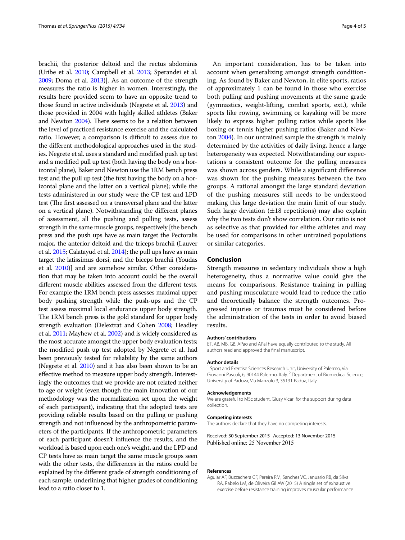brachii, the posterior deltoid and the rectus abdominis (Uribe et al. [2010](#page-4-21); Campbell et al. [2013;](#page-4-22) Sperandei et al. [2009;](#page-4-23) Doma et al. [2013](#page-4-24))]. As an outcome of the strength measures the ratio is higher in women. Interestingly, the results here provided seem to have an opposite trend to those found in active individuals (Negrete et al. [2013\)](#page-4-16) and those provided in 2004 with highly skilled athletes (Baker and Newton [2004](#page-4-6)). There seems to be a relation between the level of practiced resistance exercise and the calculated ratio. However, a comparison is difficult to assess due to the different methodological approaches used in the studies. Negrete et al. uses a standard and modified push up test and a modified pull up test (both having the body on a horizontal plane), Baker and Newton use the 1RM bench press test and the pull up test (the first having the body on a horizontal plane and the latter on a vertical plane); while the tests administered in our study were the CP test and LPD test (The first assessed on a transversal plane and the latter on a vertical plane). Notwithstanding the different planes of assessment, all the pushing and pulling tests, assess strength in the same muscle groups, respectively [the bench press and the push ups have as main target the Pectoralis major, the anterior deltoid and the triceps brachii (Lauver et al. [2015;](#page-4-25) Calatayud et al. [2014](#page-4-26)); the pull ups have as main target the latissimus dorsi, and the biceps brachii (Youdas et al. [2010](#page-4-27))] and are somehow similar. Other consideration that may be taken into account could be the overall different muscle abilities assessed from the different tests. For example the 1RM bench press assesses maximal upper body pushing strength while the push-ups and the CP test assess maximal local endurance upper body strength. The 1RM bench press is the gold standard for upper body strength evaluation (Delextrat and Cohen [2008;](#page-4-28) Headley et al. [2011;](#page-4-29) Mayhew et al. [2002\)](#page-4-30) and is widely considered as the most accurate amongst the upper body evaluation tests; the modified push up test adopted by Negrete et al. had been previously tested for reliability by the same authors (Negrete et al. [2010\)](#page-4-0) and it has also been shown to be an effective method to measure upper body strength. Interestingly the outcomes that we provide are not related neither to age or weight (even though the main innovation of our methodology was the normalization set upon the weight of each participant), indicating that the adopted tests are providing reliable results based on the pulling or pushing strength and not influenced by the anthropometric parameters of the participants. If the anthropometric parameters of each participant doesn't influence the results, and the workload is based upon each one's weight, and the LPD and CP tests have as main target the same muscle groups seen with the other tests, the differences in the ratios could be explained by the different grade of strength conditioning of each sample, underlining that higher grades of conditioning lead to a ratio closer to 1.

An important consideration, has to be taken into account when generalizing amongst strength conditioning. As found by Baker and Newton, in elite sports, ratios of approximately 1 can be found in those who exercise both pulling and pushing movements at the same grade (gymnastics, weight-lifting, combat sports, ext.), while sports like rowing, swimming or kayaking will be more likely to express higher pulling ratios while sports like boxing or tennis higher pushing ratios (Baker and Newton [2004\)](#page-4-6). In our untrained sample the strength is mainly determined by the activities of daily living, hence a large heterogeneity was expected. Notwithstanding our expectations a consistent outcome for the pulling measures was shown across genders. While a significant difference was shown for the pushing measures between the two groups. A rational amongst the large standard deviation of the pushing measures still needs to be understood making this large deviation the main limit of our study. Such large deviation  $(\pm 18$  repetitions) may also explain why the two tests don't show correlation. Our ratio is not as selective as that provided for elithe athletes and may be used for comparisons in other untrained populations or similar categories.

## **Conclusion**

Strength measures in sedentary individuals show a high heterogeneity, thus a normative value could give the means for comparisons. Resistance training in pulling and pushing musculature would lead to reduce the ratio and theoretically balance the strength outcomes. Progressed injuries or traumas must be considered before the administration of the tests in order to avoid biased results.

#### **Authors' contributions**

ET, AB, MB, GB, APao and APal have equally contributed to the study. All authors read and approved the final manuscript.

#### **Author details**

<sup>1</sup> Sport and Exercise Sciences Research Unit, University of Palermo, Via Giovanni Pascoli, 6, 90144 Palermo, Italy. <sup>2</sup> Department of Biomedical Science, University of Padova, Via Manzolo 3, 35131 Padua, Italy.

#### **Acknowledgements**

We are grateful to MSc student, Giusy Vicari for the support during data collection.

#### **Competing interests**

The authors declare that they have no competing interests.

## Received: 30 September 2015 Accepted: 13 November 2015 Published online: 25 November 2015

#### **References**

<span id="page-3-0"></span>Aguiar AF, Buzzachera CF, Pereira RM, Sanches VC, Januario RB, da Silva RA, Rabelo LM, de Oliveira Gil AW (2015) A single set of exhaustive exercise before resistance training improves muscular performance